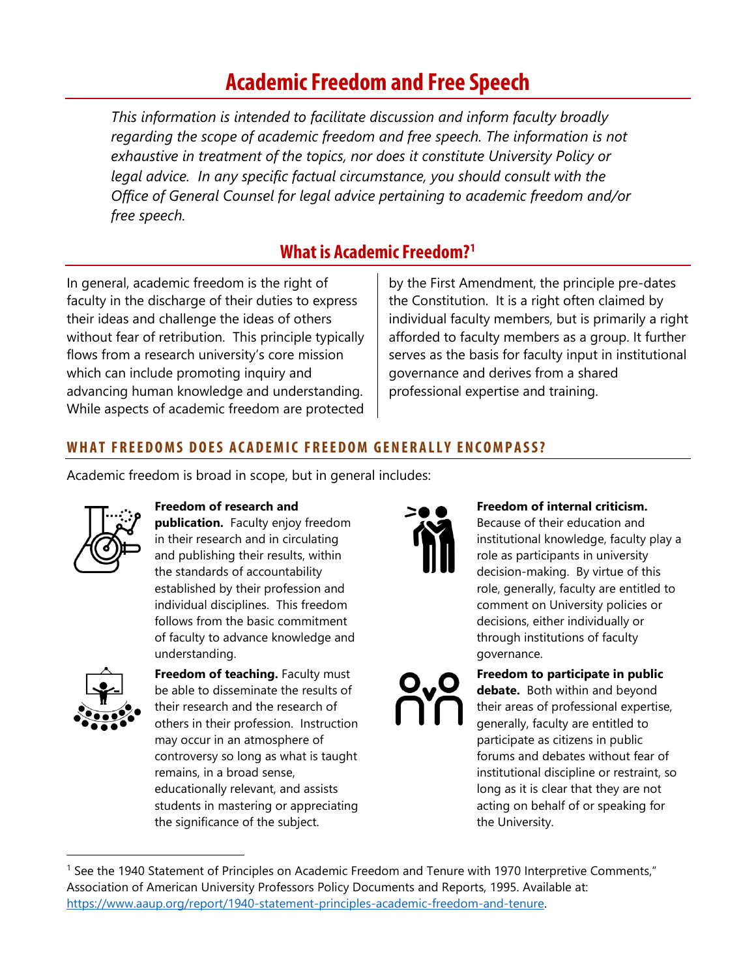# **Academic Freedom and Free Speech**

*This information is intended to facilitate discussion and inform faculty broadly regarding the scope of academic freedom and free speech. The information is not exhaustive in treatment of the topics, nor does it constitute University Policy or legal advice. In any specific factual circumstance, you should consult with the Office of General Counsel for legal advice pertaining to academic freedom and/or free speech.*

## **What is Academic Freedom?[1](#page-0-0)**

In general, academic freedom is the right of faculty in the discharge of their duties to express their ideas and challenge the ideas of others without fear of retribution. This principle typically flows from a research university's core mission which can include promoting inquiry and advancing human knowledge and understanding. While aspects of academic freedom are protected by the First Amendment, the principle pre-dates the Constitution. It is a right often claimed by individual faculty members, but is primarily a right afforded to faculty members as a group. It further serves as the basis for faculty input in institutional governance and derives from a shared professional expertise and training.

## **WHAT FREEDOMS DOES ACADEMIC FREEDOM GENERALLY ENCOMPASS?**

Academic freedom is broad in scope, but in general includes:



#### **Freedom of research and**

**publication.** Faculty enjoy freedom in their research and in circulating and publishing their results, within the standards of accountability established by their profession and individual disciplines. This freedom follows from the basic commitment of faculty to advance knowledge and understanding.



**Freedom of teaching.** Faculty must be able to disseminate the results of their research and the research of others in their profession. Instruction may occur in an atmosphere of controversy so long as what is taught remains, in a broad sense, educationally relevant, and assists students in mastering or appreciating the significance of the subject.



#### **Freedom of internal criticism.**

Because of their education and institutional knowledge, faculty play a role as participants in university decision-making. By virtue of this role, generally, faculty are entitled to comment on University policies or decisions, either individually or through institutions of faculty governance.

**Freedom to participate in public debate.** Both within and beyond their areas of professional expertise, generally, faculty are entitled to participate as citizens in public forums and debates without fear of institutional discipline or restraint, so long as it is clear that they are not acting on behalf of or speaking for the University.

<span id="page-0-0"></span> <sup>1</sup> See the 1940 Statement of Principles on Academic Freedom and Tenure with 1970 Interpretive Comments," Association of American University Professors Policy Documents and Reports, 1995. Available at: [https://www.aaup.org/report/1940-statement-principles-academic-freedom-and-tenure.](https://www.aaup.org/report/1940-statement-principles-academic-freedom-and-tenure)